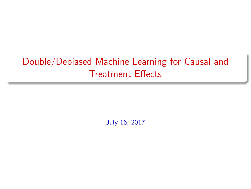# Double/Debiased Machine Learning for Causal and Treatment **Effects**

July 16, 2017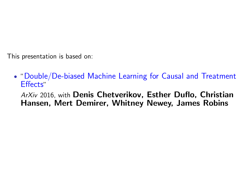This presentation is based on:

*•* "Double/De-biased Machine Learning for Causal and Treatment Effects"

*ArXiv* 2016, with Denis Chetverikov, Esther Duflo, Christian Hansen, Mert Demirer, Whitney Newey, James Robins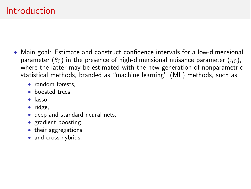## Introduction

- *•* Main goal: Estimate and construct confidence intervals for a low-dimensional parameter  $(\theta_0)$  in the presence of high-dimensional nuisance parameter  $(\eta_0)$ , where the latter may be estimated with the new generation of nonparametric statistical methods, branded as "machine learning" (ML) methods, such as
	- *•* random forests,
	- *•* boosted trees,
	- *•* lasso,
	- *•* ridge,
	- *•* deep and standard neural nets,
	- *•* gradient boosting,
	- their aggregations,
	- *•* and cross-hybrids.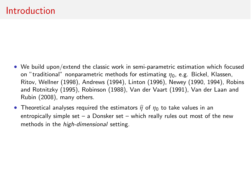### Introduction

- We build upon/extend the classic work in semi-parametric estimation which focused on "traditional" nonparametric methods for estimating *h*0, e.g. Bickel, Klassen, Ritov, Wellner (1998), Andrews (1994), Linton (1996), Newey (1990, 1994), Robins and Rotnitzky (1995), Robinson (1988), Van der Vaart (1991), Van der Laan and Rubin (2008), many others.
- Theoretical analyses required the estimators  $\hat{\eta}$  of  $\eta_0$  to take values in an entropically simple set – a Donsker set – which really rules out most of the new methods in the *high-dimensional* setting.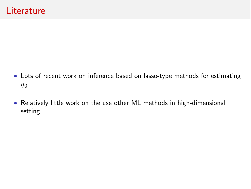- *•* Lots of recent work on inference based on lasso-type methods for estimating *h*0
- Relatively little work on the use other ML methods in high-dimensional setting.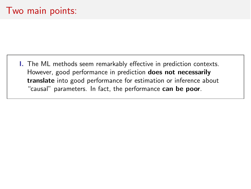I. The ML methods seem remarkably effective in prediction contexts. However, good performance in prediction does not necessarily translate into good performance for estimation or inference about "causal" parameters. In fact, the performance can be poor.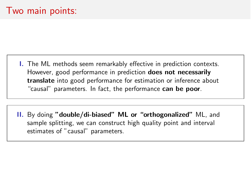**I.** The ML methods seem remarkably effective in prediction contexts. However, good performance in prediction does not necessarily translate into good performance for estimation or inference about "causal" parameters. In fact, the performance can be poor.

II. By doing "double/di-biased" ML or "orthogonalized" ML, and sample splitting, we can construct high quality point and interval estimates of "causal" parameters.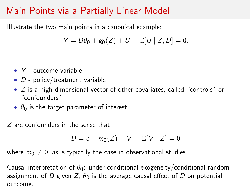## Main Points via a Partially Linear Model

Illustrate the two main points in a canonical example:

$$
Y = D\theta_0 + g_0(Z) + U, \quad E[U \mid Z, D] = 0,
$$

- *• Y* outcome variable
- *• D* policy/treatment variable
- *• Z* is a high-dimensional vector of other covariates, called "controls" or "confounders"
- $\theta_0$  is the target parameter of interest
- *Z* are confounders in the sense that

$$
D = c + m_0(Z) + V, \quad E[V \mid Z] = 0
$$

where  $m_0 \neq 0$ , as is typically the case in observational studies.

Causal interpretation of  $\theta_0$ : under conditional exogeneity/conditional random assignment of *D* given *Z*,  $\theta_0$  is the average causal effect of *D* on potential outcome.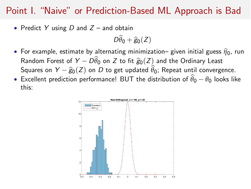## Point I. "Naive" or Prediction-Based ML Approach is Bad

*•* Predict *Y* using *D* and *Z* – and obtain

 $D\theta_0 + \widehat{g}_0(Z)$ 

- For example, estimate by alternating minimization– given initial guess  $\hat{\eta}_0$ , run Random Forest of  $Y - D\theta_0$  on *Z* to fit  $\hat{g}_0(Z)$  and the Ordinary Least Squares on  $Y - \widehat{g}_0(Z)$  on *D* to get updated  $\theta_0$ ; Repeat until convergence.
- Excellent prediction performance! BUT the distribution of  $\theta_0 \theta_0$  looks like this:

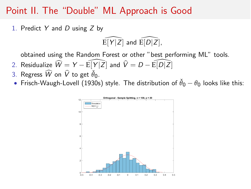### Point II. The "Double" ML Approach is Good

1. Predict *Y* and *D* using *Z* by

 $\widehat{E[Y|Z]}$  and  $\widehat{E[D|Z]}$ ,

obtained using the Random Forest or other "best performing ML" tools.

- 2. Residualize  $\widehat{W} = Y \widehat{\mathrm{E}}[Y|\bar{Z}]$  and  $\widehat{V} = D \widehat{\mathrm{E}}[D|\bar{Z}]$
- 3. Regress  $\widehat{W}$  on  $\widehat{V}$  to get  $\widehat{\theta}_0$ .
- Frisch-Waugh-Lovell (1930s) style. The distribution of  $\check{\theta}_0 \theta_0$  looks like this:

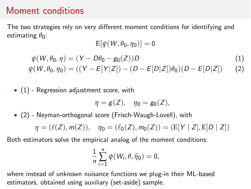## Moment conditions

The two strategies rely on very different moment conditions for identifying and estimating  $\theta_0$ :

 $E[\psi(W, \theta_0, \eta_0)] = 0$ 

$$
\psi(W, \theta_0, \eta) = (Y - D\theta_0 - g_0(Z))D \tag{1}
$$

<span id="page-10-1"></span><span id="page-10-0"></span>
$$
\psi(W, \theta_0, \eta_0) = ((Y - E[Y|Z]) - (D - E[D|Z])\theta_0)(D - E[D|Z]) \tag{2}
$$

*•* [\(1\)](#page-10-0) - Regression adjustment score, with

$$
\eta=g(Z), \quad \eta_0=g_0(Z),
$$

*•* [\(2\)](#page-10-1) - Neyman-orthogonal score (Frisch-Waugh-Lovell), with

$$
\eta = (\ell(Z), m(Z)), \quad \eta_0 = (\ell_0(Z), m_0(Z)) = (\text{E}[Y | Z], \text{E}[D | Z])
$$

Both estimators solve the empirical analog of the moment conditions:

$$
\frac{1}{n}\sum_{i=1}^n \psi(W_i,\theta,\widehat{\eta}_0)=0,
$$

where instead of unknown nuisance functions we plug-in their ML-based estimators, obtained using auxiliary (set-aside) sample.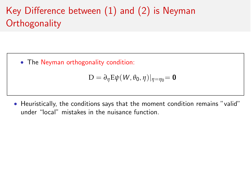# Key Difference between  $(1)$  and  $(2)$  is Neyman **Orthogonality**

*•* The Neyman orthogonality condition:

$$
D = \partial_{\eta} E \psi(W, \theta_0, \eta)|_{\eta = \eta_0} = \mathbf{0}
$$

• Heuristically, the conditions says that the moment condition remains "valid" under "local" mistakes in the nuisance function.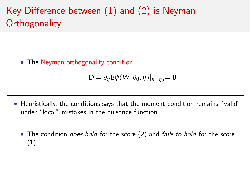# Key Difference between  $(1)$  and  $(2)$  is Neyman **Orthogonality**

*•* The Neyman orthogonality condition:

$$
D = \partial_{\eta} E \psi(W, \theta_0, \eta)|_{\eta = \eta_0} = \mathbf{0}
$$

*•* Heuristically, the conditions says that the moment condition remains "valid" under "local" mistakes in the nuisance function.

*•* The condition *does hold* for the score (2) and *fails to hold* for the score (1),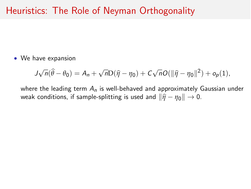## Heuristics: The Role of Neyman Orthogonality

*•* We have expansion

$$
J\sqrt{n}(\widehat{\theta}-\theta_0)=A_n+\sqrt{n}\mathcal{D}(\widehat{\eta}-\eta_0)+C\sqrt{n}O(\|\widehat{\eta}-\eta_0\|^2)+o_p(1),
$$

where the leading term *A<sup>n</sup>* is well-behaved and approximately Gaussian under weak conditions, if sample-splitting is used and  $\|\hat{\eta} - \eta_0\| \to 0$ .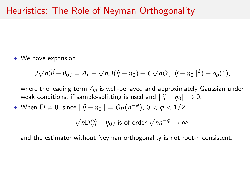## Heuristics: The Role of Neyman Orthogonality

*•* We have expansion

$$
J\sqrt{n}(\widehat{\theta}-\theta_0)=A_n+\sqrt{n}\mathcal{D}(\widehat{\eta}-\eta_0)+C\sqrt{n}O(\|\widehat{\eta}-\eta_0\|^2)+o_p(1),
$$

where the leading term *A<sup>n</sup>* is well-behaved and approximately Gaussian under weak conditions, if sample-splitting is used and  $\|\hat{\eta} - \eta_0\| \to 0$ .

• When  $D \neq 0$ , since  $\|\hat{\eta} - \eta_0\| = O_P(n^{-\varphi})$ ,  $0 < \varphi < 1/2$ ,

$$
\sqrt{n}\mathcal{D}(\widehat{\eta}-\eta_0) \text{ is of order } \sqrt{n}n^{-\varphi} \to \infty.
$$

and the estimator without Neyman orthogonality is not root-n consistent.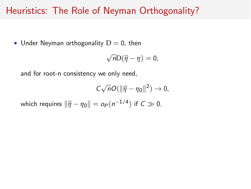## Heuristics: The Role of Neyman Orthogonality?

• Under Neyman orthogonality  $D = 0$ , then

$$
\sqrt{n}\mathcal{D}(\widehat{\eta}-\eta)=0,
$$

and for root-n consistency we only need,

$$
C\sqrt{n}O(\|\widehat{\eta}-\eta_0\|^2)\to 0,
$$

which requires  $\|\hat{\eta} - \eta_0\| = o_P(n^{-1/4})$  if  $C \gg 0$ .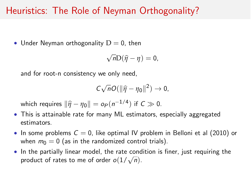## Heuristics: The Role of Neyman Orthogonality?

• Under Neyman orthogonality  $D = 0$ , then

$$
\sqrt{n}\mathcal{D}(\widehat{\eta}-\eta)=0,
$$

and for root-n consistency we only need,

$$
C\sqrt{n}O(\|\widehat{\eta}-\eta_0\|^2)\to 0,
$$

which requires  $\|\hat{\eta} - \eta_0\| = o_P(n^{-1/4})$  if  $C \gg 0$ .

- *•* This is attainable rate for many ML estimators, especially aggregated estimators.
- In some problems  $C = 0$ , like optimal IV problem in Belloni et al (2010) or when  $m_0 = 0$  (as in the randomized control trials).
- In the partially linear model, the rate condition is finer, just requiring the product of rates to me of order  $o(1/\sqrt{n})$ .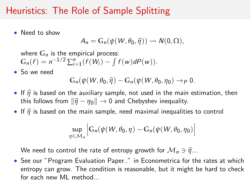## Heuristics: The Role of Sample Splitting

*•* Need to show

$$
A_n = G_n(\psi(W, \theta_0, \widehat{\eta})) \rightsquigarrow N(0, \Omega),
$$

where **G***<sup>n</sup>* is the empirical process:  $G_n(f) = n^{-1/2} \sum_{i=1}^n (f(W_i) - \int f(w) dP(w)).$ 

*•* So we need

$$
\mathbb{G}_n(\psi(W,\theta_0,\widehat{\eta})-\mathbb{G}_n(\psi(W,\theta_0,\eta_0)\to_P 0.
$$

- If  $\hat{\eta}$  is based on the auxiliary sample, not used in the main estimation, then this follows from  $\|\hat{\eta} - \eta_0\| \to 0$  and Chebyshev inequality.
- If  $\hat{\eta}$  is based on the main sample, need maximal inequalities to control

$$
\sup_{\eta \in \mathcal{M}_n} \left| G_n(\psi(W, \theta_0, \eta) - G_n(\psi(W, \theta_0, \eta_0)) \right|
$$

We need to control the rate of entropy growth for  $\mathcal{M}_n \ni \hat{\eta}$ ...

*•* See our "Program Evaluation Paper.." in Econometrica for the rates at which entropy can grow. The condition is reasonable, but it might be hard to check for each new ML method.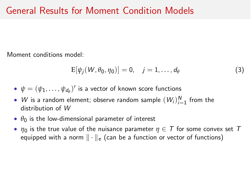Moment conditions model:

<span id="page-18-0"></span>
$$
E[\psi_j(W,\theta_0,\eta_0)] = 0, \quad j = 1,\ldots,d_\theta
$$
 (3)

- $\psi = (\psi_1, \ldots, \psi_{d_0})'$  is a vector of known score functions
- *W* is a random element; observe random sample  $(W_i)_{i=1}^N$  from the distribution of *W*
- $\theta_0$  is the low-dimensional parameter of interest
- $\eta_0$  is the true value of the nuisance parameter  $\eta \in \mathcal{T}$  for some convex set  $\mathcal{T}$ equipped with a norm  $\|\cdot\|_e$  (can be a function or vector of functions)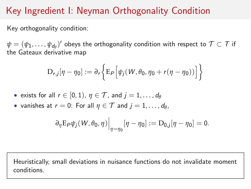# Key Ingredient I: Neyman Orthogonality Condition

Key orthogonality condition:

 $\psi = (\psi_1, \ldots, \psi_{d})'$  obeys the orthogonality condition with respect to  $\mathcal{T} \subset \mathcal{T}$  if the Gateaux derivative map

$$
D_{r,j}[\eta - \eta_0] := \partial_r \bigg\{ E_P \bigg[ \psi_j(W, \theta_0, \eta_0 + r(\eta - \eta_0)) \bigg] \bigg\}
$$

• exists for all 
$$
r \in [0, 1)
$$
,  $\eta \in \mathcal{T}$ , and  $j = 1, ..., d_\theta$ 

• vanishes at  $r = 0$ : For all  $\eta \in \mathcal{T}$  and  $j = 1, \ldots, d_\theta$ ,

$$
\left.\partial_\eta \mathrm{E}_P \psi_j(W,\theta_0,\eta)\right|_{\eta=\eta_0} [\eta-\eta_0] := \mathrm{D}_{0,j}[\eta-\eta_0] = 0.
$$

Heuristically, small deviations in nuisance functions do not invalidate moment conditions.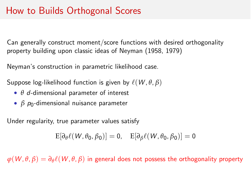## How to Builds Orthogonal Scores

Can generally construct moment/score functions with desired orthogonality property building upon classic ideas of Neyman (1958, 1979)

Neyman's construction in parametric likelihood case.

Suppose log-likelihood function is given by  $\ell(W, \theta, \beta)$ 

- $\bullet$   $\theta$  *d*-dimensional parameter of interest
- *β p*<sub>0</sub>-dimensional nuisance parameter

Under regularity, true parameter values satisfy

$$
E[\partial_\theta \ell(W,\theta_0,\beta_0)] = 0, \quad E[\partial_\beta \ell(W,\theta_0,\beta_0)] = 0
$$

 $\varphi(W, \theta, \beta) = \partial_{\theta} \ell(W, \theta, \beta)$  in general does not possess the orthogonality property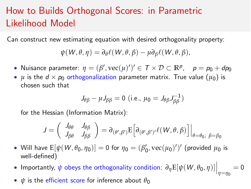# How to Builds Orthogonal Scores: in Parametric Likelihood Model

Can construct new estimating equation with desired orthogonality property:

$$
\psi(W,\theta,\eta)=\partial_{\theta}\ell(W,\theta,\beta)-\mu\partial_{\beta}\ell(W,\theta,\beta),
$$

- Nuisance parameter:  $\eta = (\beta', \text{vec}(\mu)')' \in T \times D \subset \mathbb{R}^p$ ,  $\rho = \rho_0 + dp_0$
- $\mu$  is the  $d \times p_0$  orthogonalization parameter matrix. True value  $(\mu_0)$  is chosen such that

$$
J_{\theta\beta} - \mu J_{\beta\beta} = 0
$$
 (i.e.,  $\mu_0 = J_{\theta\beta} J_{\beta\beta}^{-1}$ )

for the Hessian (Information Matrix):

$$
J=\left(\begin{array}{cc}J_{\theta\theta}&J_{\theta\beta}\\J_{\beta\theta}&J_{\beta\beta}\end{array}\right)=\partial_{(\theta',\beta')}E\Big[\partial_{(\theta',\beta')'}\ell(W,\theta,\beta)\Big]\Big|_{\theta=\theta_0;\ \beta=\beta_0}
$$

- Will have  $E[\psi(W, \theta_0, \eta_0)] = 0$  for  $\eta_0 = (\beta'_0, \text{vec}(\mu_0)')'$  (provided  $\mu_0$  is well-defined)
- Importantly,  $\psi$  obeys the orthogonality condition:  $\partial_{\eta} E[\psi(W, \theta_0, \eta)]\Big|_{\eta=\eta_0}=0$
- $\psi$  is the efficient score for inference about  $\theta_0$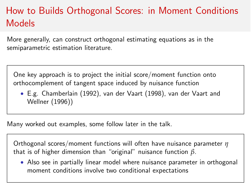# How to Builds Orthogonal Scores: in Moment Conditions Models

More generally, can construct orthogonal estimating equations as in the semiparametric estimation literature.

One key approach is to project the initial score/moment function onto orthocomplement of tangent space induced by nuisance function

*•* E.g. Chamberlain (1992), van der Vaart (1998), van der Vaart and Wellner (1996))

Many worked out examples, some follow later in the talk.

Orthogonal scores/moment functions will often have nuisance parameter *h* that is of higher dimension than "original" nuisance function *b*.

*•* Also see in partially linear model where nuisance parameter in orthogonal moment conditions involve two conditional expectations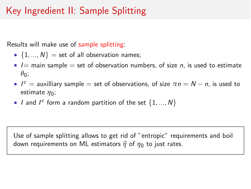# Key Ingredient II: Sample Splitting

Results will make use of sample splitting:

- $\{1, ..., N\}$  = set of all observation names;
- *• I*= main sample = set of observation numbers, of size *n*, is used to estimate  $\theta_0$ ;
- $I^c$  = auxilliary sample = set of observations, of size  $\pi n = N n$ , is used to estimate  $\eta_0$ ;
- *I* and  $I^c$  form a random partition of the set  $\{1, ..., N\}$

Use of sample splitting allows to get rid of "entropic" requirements and boil down requirements on ML estimators  $\hat{\eta}$  of  $\eta_0$  to just rates.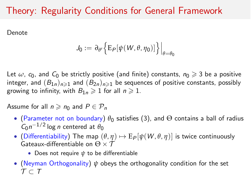## Theory: Regularity Conditions for General Framework

Denote

$$
J_0 := \partial_{\theta'} \Big\{ E_P[\psi(W,\theta,\eta_0)] \Big\} \Big|_{\theta=\theta_0}
$$

Let  $\omega$ ,  $c_0$ , and  $C_0$  be strictly positive (and finite) constants,  $n_0 \geq 3$  be a positive integer, and  $(B_{1n})_{n\geq 1}$  and  $(B_{2n})_{n\geq 1}$  be sequences of positive constants, possibly growing to infinity, with  $B_{1n} \geq 1$  for all  $n \geq 1$ .

Assume for all  $n \geq n_0$  and  $P \in \mathcal{P}_n$ 

- (Parameter not on boundary)  $\theta_0$  satisfies [\(3\)](#page-18-0), and  $\Theta$  contains a ball of radius  $C_0 n^{-1/2}$  log *n* centered at  $\theta_0$
- (Differentiability) The map  $(\theta, \eta) \mapsto E_P[\psi(W, \theta, \eta)]$  is twice continuously Gateaux-differentiable on  $\Theta \times \mathcal{T}$ 
	- Does not require  $\psi$  to be differentiable
- *•* (Neyman Orthogonality) *y* obeys the orthogonality condition for the set  $\tau \subset \tau$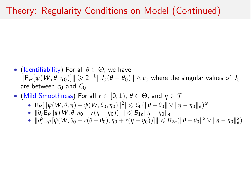## Theory: Regularity Conditions on Model (Continued)

- (Identifiability) For all  $\theta \in \Theta$ , we have  $\|E_P[\psi(W, \theta, \eta_0)]\| \geq 2^{-1} \|J_0(\theta - \theta_0)\| \wedge c_0$  where the singular values of  $J_0$ are between  $c_0$  and  $C_0$
- (Mild Smoothness) For all  $r \in [0, 1)$ ,  $\theta \in \Theta$ , and  $\eta \in \mathcal{T}$ 
	- $E_P[\|\psi(W, \theta, \eta) \psi(W, \theta_0, \eta_0)\|^2] \leq C_0(\|\theta \theta_0\| \vee \|\eta \eta_0\|_e)^\omega$
	- $\bullet$   $\|\partial_r E_P [\psi(W, \theta, \eta_0 + r(\eta \eta_0))] \| \leq B_{1n} \| \eta \eta_0 \|_e$
	- $\|\partial_r^2 \mathbb{E}_P[\psi(W, \theta_0 + r(\theta \theta_0), \eta_0 + r(\eta \eta_0))] \| \leq B_{2n}(\|\theta \theta_0\|^2 \vee \|\eta \eta_0\|_e^2)$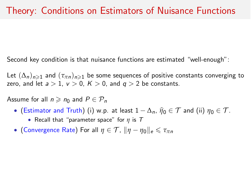Second key condition is that nuisance functions are estimated "well-enough":

Let  $(\Delta_n)_{n\geq 1}$  and  $(\tau_{\pi n})_{n\geq 1}$  be some sequences of positive constants converging to zero, and let  $a > 1$ ,  $v > 0$ ,  $K > 0$ , and  $q > 2$  be constants.

Assume for all  $n \geq n_0$  and  $P \in \mathcal{P}_n$ 

- (Estimator and Truth) (i) w.p. at least  $1 \Delta_n$ ,  $\hat{\eta}_0 \in \mathcal{T}$  and (ii)  $\eta_0 \in \mathcal{T}$ .
	- *•* Recall that "parameter space" for *h* is *T*
- (Convergence Rate) For all  $\eta \in \mathcal{T}$ ,  $\|\eta \eta_0\|_e \leq \tau_{\pi n}$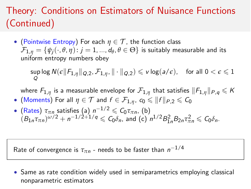# Theory: Conditions on Estimators of Nuisance Functions (Continued)

• (Pointwise Entropy) For each  $\eta \in \mathcal{T}$ , the function class  $\mathcal{F}_{1,\eta} = \{\psi_i(\cdot,\theta,\eta): j = 1, ..., d_\theta, \theta \in \Theta\}$  is suitably measurable and its uniform entropy numbers obey

 $\sup_{\alpha} \log N(\epsilon \| F_{1,\eta} \|_{Q,2}, \mathcal{F}_{1,\eta}, \| \cdot \|_{Q,2}) \leqslant v \log(a/\epsilon), \quad \text{for all } 0 < \epsilon \leqslant 1.$ *Q*

where  $F_{1,n}$  is a measurable envelope for  $\mathcal{F}_{1,n}$  that satisfies  $||F_{1,n}||_{P,q} \leqslant K$ 

- (Moments) For all  $\eta \in \mathcal{T}$  and  $f \in \mathcal{F}_{1,n}$ ,  $c_0 \leqslant ||f||_{P,2} \leqslant C_0$
- (Rates)  $\tau_{\pi n}$  satisfies (a)  $n^{-1/2} \leq C_0 \tau_{\pi n}$ , (b)  $(B_{1n}\tau_{\pi n})^{\omega/2} + n^{-1/2+1/q} \leqslant C_0\delta_n$ , and (c)  $n^{1/2}B_{1n}^2B_{2n}\tau_{\pi n}^2 \leqslant C_0\delta_n$ .

Rate of convergence is  $\tau_{\pi n}$  - needs to be faster than  $n^{-1/4}$ 

*•* Same as rate condition widely used in semiparametrics employing classical nonparametric estimators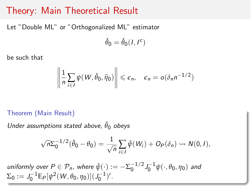### Theory: Main Theoretical Result

Let "Double ML" or "Orthogonalized ML" estimator

$$
\check{\theta}_0 = \check{\theta}_0(I,I^c)
$$

be such that

$$
\left\|\frac{1}{n}\sum_{i\in I}\psi(W,\check{\theta}_0,\widehat{\eta}_0)\right\|\leq \epsilon_n, \quad \epsilon_n = o(\delta_n n^{-1/2})
$$

#### Theorem (Main Result)

*Under assumptions stated above,*  $\check{\theta}_0$  *obeys* 

$$
\sqrt{n}\Sigma_0^{-1/2}(\check{\theta}_0-\theta_0)=\frac{1}{\sqrt{n}}\sum_{i\in I}\bar{\psi}(W_i)+O_P(\delta_n)\rightsquigarrow N(0,I),
$$

 $u$ *niformly over*  $P \in \mathcal{P}_n$ *, where*  $\bar{\psi}(\cdot) := -\Sigma_0^{-1/2} J_0^{-1} \psi(\cdot, \theta_0, \eta_0)$  and  $\Sigma_0 := J_0^{-1} \mathbb{E}_P[\psi^2(W, \theta_0, \eta_0)](J_0^{-1})'.$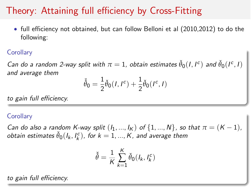## Theory: Attaining full efficiency by Cross-Fitting

• full efficiency not obtained, but can follow Belloni et al (2010,2012) to do the following:

#### **Corollary**

*Can do a random 2-way split with*  $\pi = 1$ , *obtain estimates*  $\check{\theta}_0(I, I^c)$  *and*  $\check{\theta}_0(I^c, I)$ *and average them*

$$
\check{\check{\theta}}_0 = \frac{1}{2} \check{\theta}_0(I, I^c) + \frac{1}{2} \check{\theta}_0(I^c, I)
$$

*to gain full eciency.*

#### **Corollary**

*Can do also a random K-way split*  $(I_1, ..., I_K)$  *of*  $\{1, ..., N\}$ *, so that*  $\pi = (K - 1)$ *,*  $\delta$ *obtain estimates*  $\check{\theta}_0(I_k, I_k^c)$ , for  $k = 1, ..., K$ , and average them

$$
\check{\check{\theta}} = \frac{1}{K} \sum_{k=1}^{K} \check{\theta}_0(l_k, l_k^c)
$$

*to gain full eciency.*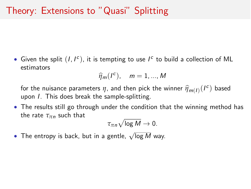• Given the split  $(I, I^c)$ , it is tempting to use  $I^c$  to build a collection of ML estimators

$$
\widehat{\eta}_m(I^c), \quad m=1,...,M
$$

for the nuisance parameters  $\eta$ , and then pick the winner  $\hat{\eta}_{m(I)}(I^c)$  based upon *I*. This does break the sample-splitting.

*•* The results still go through under the condition that the winning method has the rate  $\tau_{\pi n}$  such that

 $\tau_{\pi n} \sqrt{\log M} \to 0.$ 

• The entropy is back, but in a gentle,  $\sqrt{\log M}$  way.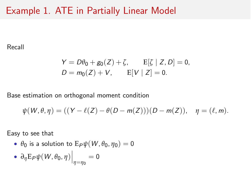### Example 1. ATE in Partially Linear Model

Recall

$$
Y = D\theta_0 + g_0(Z) + \zeta, \qquad E[\zeta | Z, D] = 0, D = m_0(Z) + V, \qquad E[V | Z] = 0.
$$

Base estimation on orthogonal moment condition

$$
\psi(W,\theta,\eta) = ((Y - \ell(Z) - \theta(D - m(Z)))(D - m(Z)), \quad \eta = (\ell, m).
$$

Easy to see that

•  $\theta_0$  is a solution to  $E_P \psi(W, \theta_0, \eta_0) = 0$ 

• 
$$
\partial_{\eta} E_P \psi(W, \theta_0, \eta) \Big|_{\eta = \eta_0} = 0
$$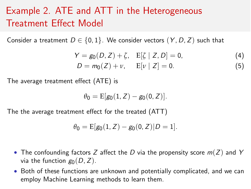# Example 2. ATE and ATT in the Heterogeneous Treatment Effect Model

Consider a treatment  $D \in \{0, 1\}$ . We consider vectors  $(Y, D, Z)$  such that

$$
Y = g_0(D, Z) + \zeta, \quad E[\zeta | Z, D] = 0,
$$
  
\n
$$
D = m_0(Z) + \nu, \quad E[\nu | Z] = 0.
$$
\n(4)

The average treatment effect  $(ATE)$  is

$$
\theta_0 = \mathrm{E}[g_0(1,Z) - g_0(0,Z)].
$$

The the average treatment effect for the treated (ATT)

$$
\theta_0 = \mathrm{E}[g_0(1, Z) - g_0(0, Z)|D = 1].
$$

- The confounding factors *Z* affect the *D* via the propensity score  $m(Z)$  and *Y* via the function  $g_0(D, Z)$ .
- *•* Both of these functions are unknown and potentially complicated, and we can employ Machine Learning methods to learn them.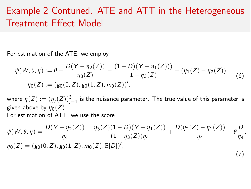## Example 2 Contuned. ATE and ATT in the Heterogeneous Treatment Effect Model

For estimation of the ATE, we employ

$$
\psi(W,\theta,\eta) := \theta - \frac{D(Y-\eta_2(Z))}{\eta_3(Z)} - \frac{(1-D)(Y-\eta_1(Z)))}{1-\eta_3(Z)} - (\eta_1(Z)-\eta_2(Z)),
$$
  

$$
\eta_0(Z) := (g_0(0,Z), g_0(1,Z), m_0(Z))',
$$
 (6)

where  $\eta(Z) := \left(\eta_j(Z)\right)_{j=1}^3$  is the nuisance parameter. The true value of this parameter is given above by  $\eta_0(Z)$ . For estimation of ATT, we use the score

$$
\psi(W,\theta,\eta) = \frac{D(Y-\eta_2(Z))}{\eta_4} - \frac{\eta_3(Z)(1-D)(Y-\eta_1(Z))}{(1-\eta_3(Z))\eta_4} + \frac{D(\eta_2(Z)-\eta_1(Z))}{\eta_4} - \theta \frac{D}{\eta_4},
$$
  
\n
$$
\eta_0(Z) = (g_0(0,Z), g_0(1,Z), m_0(Z), E[D])',
$$
\n(7)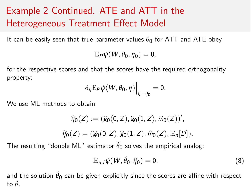# Example 2 Continued. ATE and ATT in the Heterogeneous Treatment Effect Model

It can be easily seen that true parameter values  $\theta_0$  for ATT and ATE obey

$$
E_P\psi(W,\theta_0,\eta_0)=0,
$$

for the respective scores and that the scores have the required orthogonality property:

$$
\left. \partial_{\eta} \mathbb{E}_{P} \psi(W, \theta_{0}, \eta) \right|_{\eta = \eta_{0}} = 0.
$$

We use ML methods to obtain:

$$
\widehat{\eta}_0(Z) := (\widehat{g}_0(0, Z), \widehat{g}_0(1, Z), \widehat{m}_0(Z))',
$$
  

$$
\widehat{\eta}_0(Z) = (\widehat{g}_0(0, Z), \widehat{g}_0(1, Z), \widehat{m}_0(Z), \mathbb{E}_n[D]).
$$

The resulting "double ML" estimator  $\check{\theta}_0$  solves the empirical analog:

$$
\mathbb{E}_{n,I}\psi(W,\check{\theta}_0,\widehat{\eta}_0)=0,\tag{8}
$$

and the solution  $\check{\theta}_0$  can be given explicitly since the scores are affine with respect to  $\theta$ .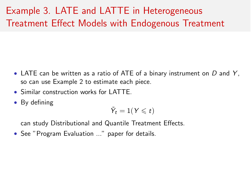# Example 3. LATE and LATTE in Heterogeneous Treatment Effect Models with Endogenous Treatment

- *•* LATE can be written as a ratio of ATE of a binary instrument on *D* and *Y* , so can use Example 2 to estimate each piece.
- Similar construction works for LATTE.
- *•* By defining

$$
\tilde{Y}_t = 1(Y \leq t)
$$

can study Distributional and Quantile Treatment Effects.

*•* See "Program Evaluation ..." paper for details.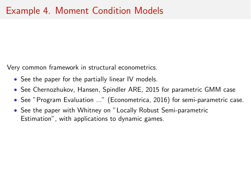Very common framework in structural econometrics.

- See the paper for the partially linear IV models.
- *•* See Chernozhukov, Hansen, Spindler ARE, 2015 for parametric GMM case
- *•* See "Program Evaluation ..." (Econometrica, 2016) for semi-parametric case.
- *•* See the paper with Whitney on "Locally Robust Semi-parametric Estimation", with applications to dynamic games.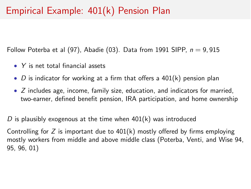## Empirical Example: 401(k) Pension Plan

Follow Poterba et al (97), Abadie (03). Data from 1991 SIPP, *n* = 9, 915

- *• Y* is net total financial assets
- *D* is indicator for working at a firm that offers a 401(k) pension plan
- *• Z* includes age, income, family size, education, and indicators for married, two-earner, defined benefit pension, IRA participation, and home ownership

*D* is plausibly exogenous at the time when 401(k) was introduced

Controlling for  $Z$  is important due to 401(k) mostly offered by firms employing mostly workers from middle and above middle class (Poterba, Venti, and Wise 94, 95, 96, 01)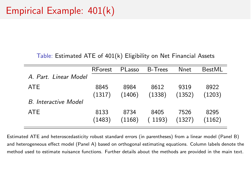Table: Estimated ATE of 401(k) Eligibility on Net Financial Assets

|                             | RForest        | PLasso         | <b>B-Trees</b> | Nnet           | <b>BestMI</b>  |
|-----------------------------|----------------|----------------|----------------|----------------|----------------|
| A. Part. Linear Model       |                |                |                |                |                |
| <b>ATF</b>                  | 8845<br>(1317) | 8984<br>(1406) | 8612<br>(1338) | 9319<br>(1352) | 8922<br>(1203) |
| <b>B.</b> Interactive Model |                |                |                |                |                |
| <b>ATF</b>                  | 8133<br>(1483) | 8734<br>(1168) | 8405<br>(1193) | 7526<br>(1327) | 8295<br>(1162) |

Estimated ATE and heteroscedasticity robust standard errors (in parentheses) from a linear model (Panel B) and heterogeneous effect model (Panel A) based on orthogonal estimating equations. Column labels denote the method used to estimate nuisance functions. Further details about the methods are provided in the main text.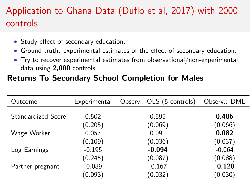# Application to Ghana Data (Duflo et al, 2017) with 2000 controls

- Study effect of secondary education.
- Ground truth: experimental estimates of the effect of secondary education.
- *•* Try to recover experimental estimates from observational/non-experimental data using 2,000 controls.

#### Returns To Secondary School Completion for Males

| Outcome                   | Experimental | Observ.: OLS (5 controls) | Observ.: DML |
|---------------------------|--------------|---------------------------|--------------|
| <b>Standardized Score</b> | 0.502        | 0.595                     | 0.486        |
|                           | (0.205)      | (0.069)                   | (0.066)      |
| Wage Worker               | 0.057        | 0.091                     | 0.082        |
|                           | (0.109)      | (0.036)                   | (0.037)      |
| Log Earnings              | $-0.195$     | $-0.094$                  | $-0.064$     |
|                           | (0.245)      | (0.087)                   | (0.088)      |
| Partner pregnant          | $-0.089$     | $-0.167$                  | $-0.120$     |
|                           | (0.093)      | (0.032)                   | (0.030)      |
|                           |              |                           |              |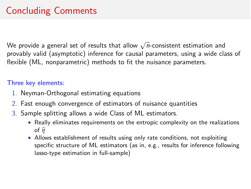# Concluding Comments

We provide a general set of results that allow  $\sqrt{n}$ -consistent estimation and provably valid (asymptotic) inference for causal parameters, using a wide class of flexible (ML, nonparametric) methods to fit the nuisance parameters.

#### Three key elements:

- 1. Neyman-Orthogonal estimating equations
- 2. Fast enough convergence of estimators of nuisance quantities
- 3. Sample splitting allows a wide Class of ML estimators.
	- *•* Really eliminates requirements on the entropic complexity on the realizations of  $\widehat{\eta}$
	- Allows establishment of results using only rate conditions, not exploiting specific structure of ML estimators (as in, e.g., results for inference following lasso-type estimation in full-sample)